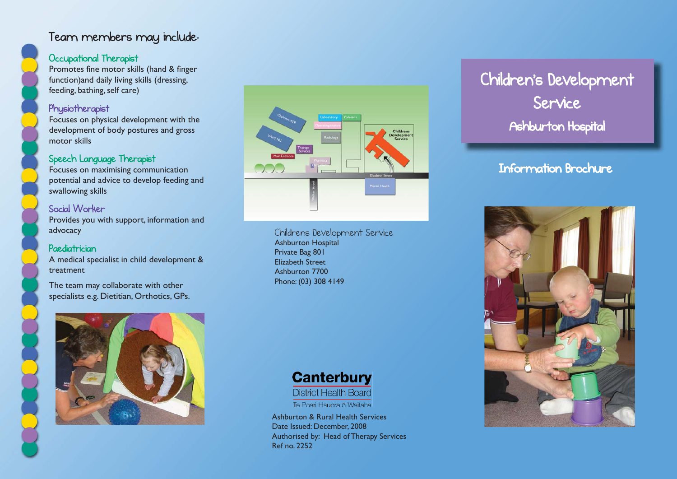## Team members may include:

## Occupational Therapist

Promotes fine motor skills (hand & finger function)and daily living skills (dressing, feeding, bathing, self care)

#### Physiotherapist

Focuses on physical development with the development of body postures and gross motor skills

## Speech Language Therapist

Focuses on maximising communication potential and advice to develop feeding and swallowing skills

## Social Worker

Provides you with support, information and advocacy

## Paediatrician

A medical specialist in child development & treatment

The team may collaborate with other specialists e.g. Dietitian, Orthotics, GPs.





Childrens Development Service Ashburton Hospital Private Bag 801 Elizabeth StreetAshburton 7700Phone: (03) 308 4149



**District Health Board** 

Te Poari Hauora o Waitaha

Ashburton & Rural Health Services Date Issued: December, 2008 Authorised by: Head of Therapy Services Ref no. 2252

# Children's Development Service Ashburton Hospital

## Information Brochure